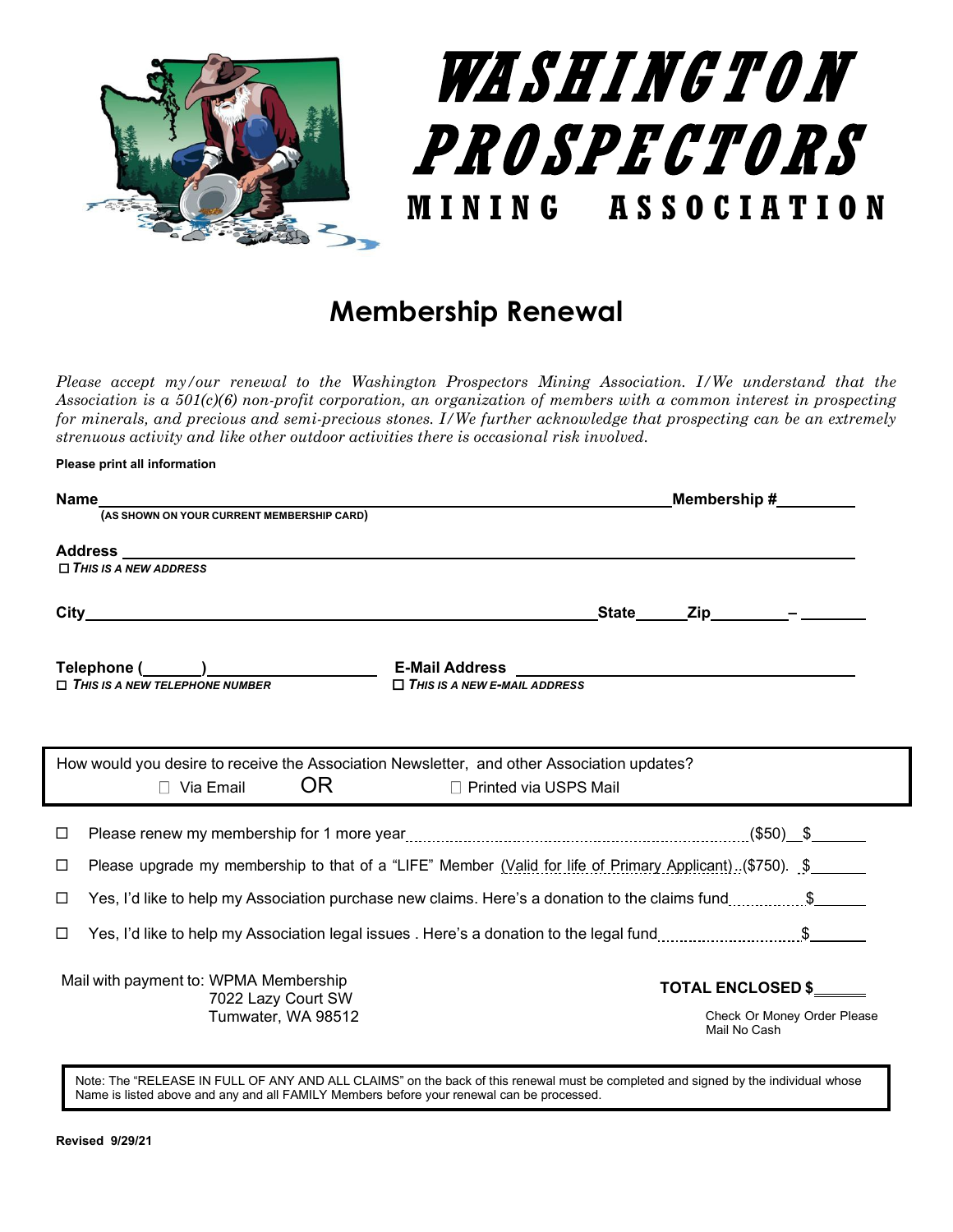

## **Membership Renewal**

*Please accept my/our renewal to the Washington Prospectors Mining Association. I/We understand that the Association is a 501(c)(6) non-profit corporation, an organization of members with a common interest in prospecting for minerals, and precious and semi-precious stones. I/We further acknowledge that prospecting can be an extremely strenuous activity and like other outdoor activities there is occasional risk involved.*

|                                                                                            | Membership $\#$ ________                                                                                   |
|--------------------------------------------------------------------------------------------|------------------------------------------------------------------------------------------------------------|
|                                                                                            |                                                                                                            |
|                                                                                            |                                                                                                            |
| $\Box$ THIS IS A NEW ADDRESS                                                               |                                                                                                            |
|                                                                                            | State Zip - 7                                                                                              |
|                                                                                            |                                                                                                            |
| $\Box$ THIS IS A NEW TELEPHONE NUMBER                                                      | $\Box$ THIS IS A NEW E-MAIL ADDRESS                                                                        |
|                                                                                            |                                                                                                            |
| How would you desire to receive the Association Newsletter, and other Association updates? |                                                                                                            |
| OR  <br>$\Box$ Via Email                                                                   | □ Printed via USPS Mail                                                                                    |
|                                                                                            |                                                                                                            |
| □                                                                                          |                                                                                                            |
| □                                                                                          | Please upgrade my membership to that of a "LIFE" Member (Valid for life of Primary Applicant). (\$750). \$ |
| □                                                                                          | Yes, I'd like to help my Association purchase new claims. Here's a donation to the claims fund\$           |
| $\Box$                                                                                     | Yes, I'd like to help my Association legal issues . Here's a donation to the legal fund\$                  |
| Mail with payment to: WPMA Membership<br>7022 Lazy Court SW                                | <b>TOTAL ENCLOSED \$</b>                                                                                   |

Note: The "RELEASE IN FULL OF ANY AND ALL CLAIMS" on the back of this renewal must be completed and signed by the individual whose Name is listed above and any and all FAMILY Members before your renewal can be processed.